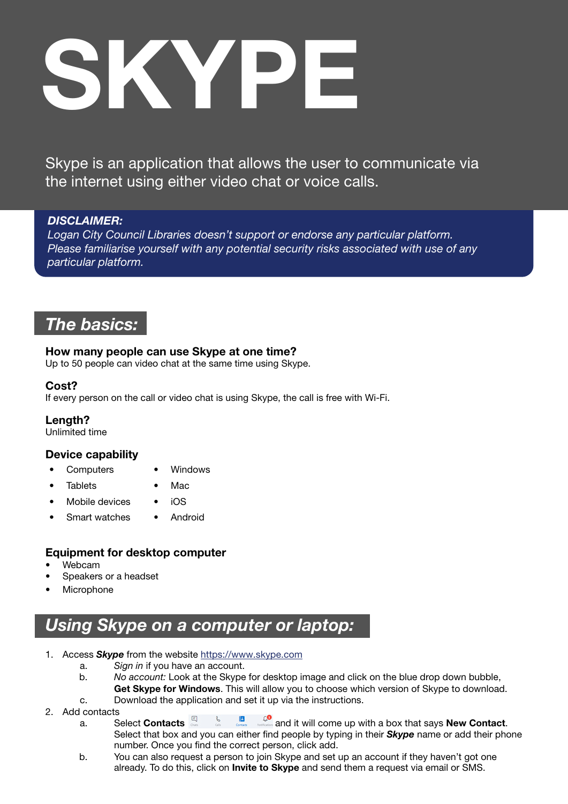# SKYPE

Skype is an application that allows the user to communicate via the internet using either video chat or voice calls.

# *DISCLAIMER:*

*Logan City Council Libraries doesn't support or endorse any particular platform. Please familiarise yourself with any potential security risks associated with use of any particular platform.* 

# *The basics:*

# How many people can use Skype at one time?

Up to 50 people can video chat at the same time using Skype.

# Cost?

If every person on the call or video chat is using Skype, the call is free with Wi-Fi.

### Length?

Unlimited time

# Device capability

- Computers Windows
	- Tablets Mac
- Mobile devices iOS
- Smart watches Android

# Equipment for desktop computer

- Webcam
- Speakers or a headset
- **Microphone**

# *Using Skype on a computer or laptop:*

- 1. Access *Skype* from the website<https://www.skype.com>
	- a. *Sign in* if you have an account.
	- b. *No account:* Look at the Skype for desktop image and click on the blue drop down bubble, Get Skype for Windows. This will allow you to choose which version of Skype to download.
	- c. Download the application and set it up via the instructions.
- 
- 2. Add contacts a. Select **Contacts E** a. Select Contacts **and the select Contacts and it will come up with a box that says New Contact.** Select that box and you can either find people by typing in their *Skype* name or add their phone number. Once you find the correct person, click add.
	- b. You can also request a person to join Skype and set up an account if they haven't got one already. To do this, click on Invite to Skype and send them a request via email or SMS.